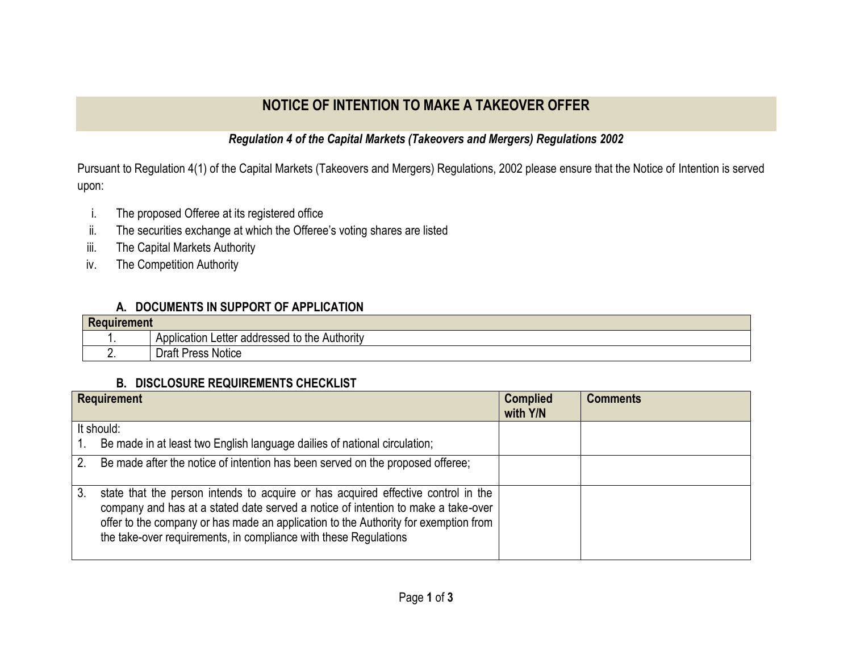## **NOTICE OF INTENTION TO MAKE A TAKEOVER OFFER**

## *Regulation 4 of the Capital Markets (Takeovers and Mergers) Regulations 2002*

Pursuant to Regulation 4(1) of the Capital Markets (Takeovers and Mergers) Regulations, 2002 please ensure that the Notice of Intention is served upon:

- i. The proposed Offeree at its registered office
- ii. The securities exchange at which the Offeree's voting shares are listed
- iii. The Capital Markets Authority
- iv. The Competition Authority

## **A. DOCUMENTS IN SUPPORT OF APPLICATION**

| Reg<br><b>uirement</b> |                                                  |  |
|------------------------|--------------------------------------------------|--|
|                        | Letter addressed to the Authority<br>Application |  |
| . .                    | <b>Draft Press Notice</b>                        |  |

## **B. DISCLOSURE REQUIREMENTS CHECKLIST**

|            | <b>Requirement</b>                                                                                                                                                                                                                                                                                                                | <b>Complied</b><br>with Y/N | <b>Comments</b> |
|------------|-----------------------------------------------------------------------------------------------------------------------------------------------------------------------------------------------------------------------------------------------------------------------------------------------------------------------------------|-----------------------------|-----------------|
| It should: |                                                                                                                                                                                                                                                                                                                                   |                             |                 |
|            | Be made in at least two English language dailies of national circulation;                                                                                                                                                                                                                                                         |                             |                 |
| 2.         | Be made after the notice of intention has been served on the proposed offeree;                                                                                                                                                                                                                                                    |                             |                 |
| 3.         | state that the person intends to acquire or has acquired effective control in the<br>company and has at a stated date served a notice of intention to make a take-over<br>offer to the company or has made an application to the Authority for exemption from<br>the take-over requirements, in compliance with these Regulations |                             |                 |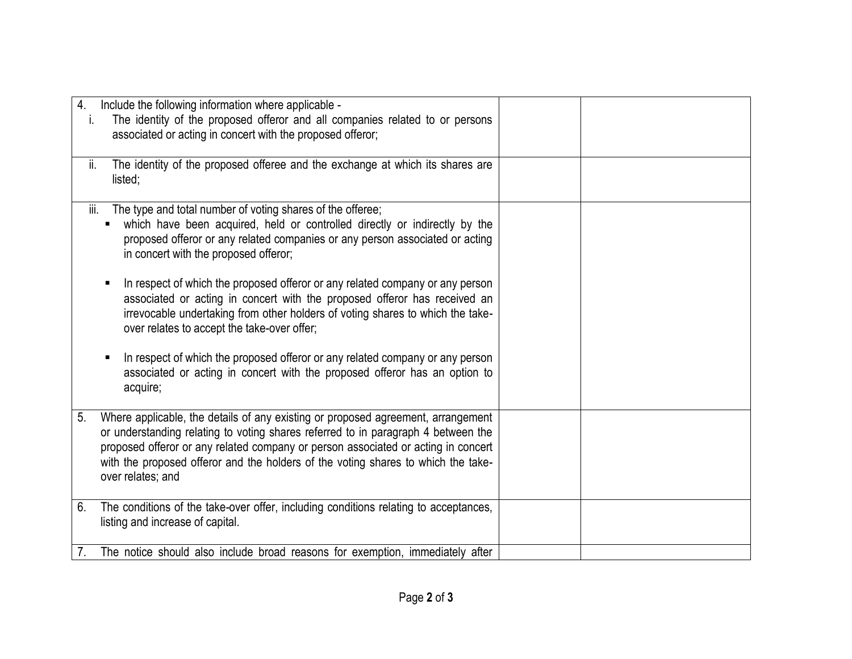| $\overline{4}$ .<br>T.<br>ii.          | Include the following information where applicable -<br>The identity of the proposed offeror and all companies related to or persons<br>associated or acting in concert with the proposed offeror;<br>The identity of the proposed offeree and the exchange at which its shares are                                                             |  |
|----------------------------------------|-------------------------------------------------------------------------------------------------------------------------------------------------------------------------------------------------------------------------------------------------------------------------------------------------------------------------------------------------|--|
| listed;                                |                                                                                                                                                                                                                                                                                                                                                 |  |
| iii.                                   | The type and total number of voting shares of the offeree;<br>which have been acquired, held or controlled directly or indirectly by the<br>proposed offeror or any related companies or any person associated or acting<br>in concert with the proposed offeror;                                                                               |  |
|                                        | In respect of which the proposed offeror or any related company or any person<br>associated or acting in concert with the proposed offeror has received an<br>irrevocable undertaking from other holders of voting shares to which the take-<br>over relates to accept the take-over offer;                                                     |  |
| acquire;                               | In respect of which the proposed offeror or any related company or any person<br>associated or acting in concert with the proposed offeror has an option to                                                                                                                                                                                     |  |
| 5.<br>over relates; and                | Where applicable, the details of any existing or proposed agreement, arrangement<br>or understanding relating to voting shares referred to in paragraph 4 between the<br>proposed offeror or any related company or person associated or acting in concert<br>with the proposed offeror and the holders of the voting shares to which the take- |  |
| 6.<br>listing and increase of capital. | The conditions of the take-over offer, including conditions relating to acceptances,                                                                                                                                                                                                                                                            |  |
|                                        | The notice should also include broad reasons for exemption, immediately after                                                                                                                                                                                                                                                                   |  |